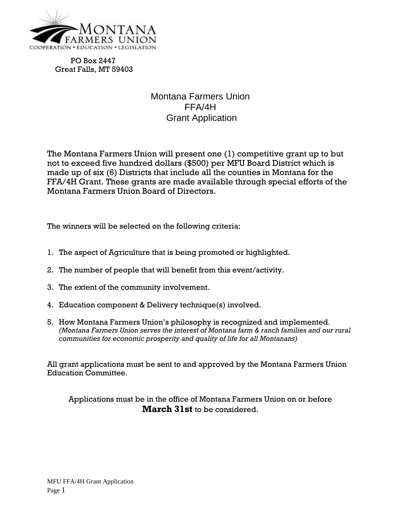

PO Box 2447 Great Falls, MT 59403

## Montana Farmers Union FFA/4H Grant Application

The Montana Farmers Union will present one (1) competitive grant up to but not to exceed five hundred dollars (\$500) per MFU Board District which is made up of six (6) Districts that include all the counties in Montana for the FFA/4H Grant. These grants are made available through special efforts of the Montana Farmers Union Board of Directors.

The winners will be selected on the following criteria:

- 1. The aspect of Agriculture that is being promoted or highlighted.
- 2. The number of people that will benefit from this event/activity.
- 3. The extent of the community involvement.
- 4. Education component & Delivery technique(s) involved.
- 5. How Montana Farmers Union's philosophy is recognized and implemented. *(Montana Farmers Union serves the interest of Montana farm & ranch families and our rural communities for economic prosperity and quality of life for all Montanans)*

All grant applications must be sent to and approved by the Montana Farmers Union Education Committee.

Applications must be in the office of Montana Farmers Union on or before **March 31st** to be considered.